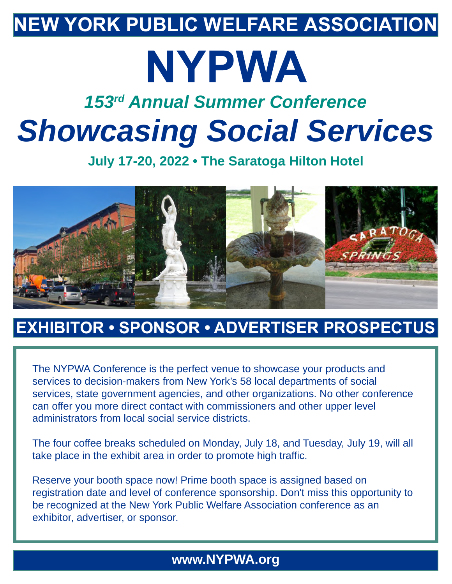## **NEW YORK PUBLIC WELFARE ASSOCIATION**

# **NYPWA**

## *153rd Annual Summer Conference Showcasing Social Services*

**July 17-20, 2022 • The Saratoga Hilton Hotel**



## **EXHIBITOR • SPONSOR • ADVERTISER PROSPECTUS**

The NYPWA Conference is the perfect venue to showcase your products and services to decision-makers from New York's 58 local departments of social services, state government agencies, and other organizations. No other conference can offer you more direct contact with commissioners and other upper level administrators from local social service districts.

The four coffee breaks scheduled on Monday, July 18, and Tuesday, July 19, will all take place in the exhibit area in order to promote high traffic.

Reserve your booth space now! Prime booth space is assigned based on registration date and level of conference sponsorship. Don't miss this opportunity to be recognized at the New York Public Welfare Association conference as an exhibitor, advertiser, or sponsor.

## **www.NYPWA.org**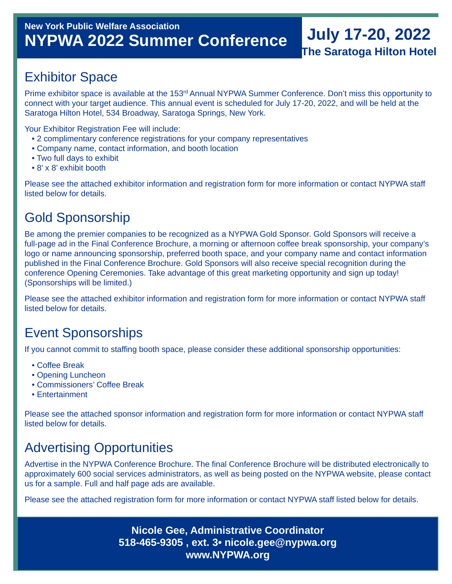## **July 17-20, 2022 The Saratoga Hilton Hotel**

## Exhibitor Space

Prime exhibitor space is available at the 153<sup>rd</sup> Annual NYPWA Summer Conference. Don't miss this opportunity to connect with your target audience. This annual event is scheduled for July 17-20, 2022, and will be held at the Saratoga Hilton Hotel, 534 Broadway, Saratoga Springs, New York.

Your Exhibitor Registration Fee will include:

- 2 complimentary conference registrations for your company representatives
- Company name, contact information, and booth location
- Two full days to exhibit
- 8' x 8' exhibit booth

Please see the attached exhibitor information and registration form for more information or contact NYPWA staff listed below for details.

## Gold Sponsorship

Be among the premier companies to be recognized as a NYPWA Gold Sponsor. Gold Sponsors will receive a full-page ad in the Final Conference Brochure, a morning or afternoon coffee break sponsorship, your company's logo or name announcing sponsorship, preferred booth space, and your company name and contact information published in the Final Conference Brochure. Gold Sponsors will also receive special recognition during the conference Opening Ceremonies. Take advantage of this great marketing opportunity and sign up today! (Sponsorships will be limited.)

Please see the attached exhibitor information and registration form for more information or contact NYPWA staff listed below for details.

## Event Sponsorships

If you cannot commit to staffing booth space, please consider these additional sponsorship opportunities:

- Coffee Break
- Opening Luncheon
- Commissioners' Coffee Break
- Entertainment

Please see the attached sponsor information and registration form for more information or contact NYPWA staff listed below for details.

## Advertising Opportunities

Advertise in the NYPWA Conference Brochure. The final Conference Brochure will be distributed electronically to approximately 600 social services administrators, as well as being posted on the NYPWA website, please contact us for a sample. Full and half page ads are available.

Please see the attached registration form for more information or contact NYPWA staff listed below for details.

**Nicole Gee, Administrative Coordinator 518-465-9305 , ext. 3• nicole.gee@nypwa.org www.NYPWA.org**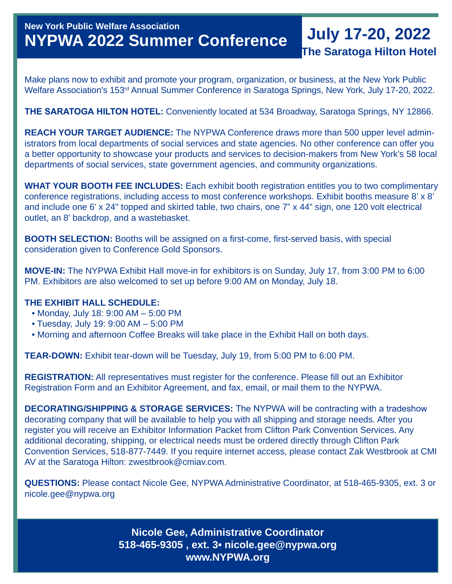## **New York Public Welfare Association NYPWA 2022 Summer Conference**

## **July 17-20, 2022 The Saratoga Hilton Hotel**

Make plans now to exhibit and promote your program, organization, or business, at the New York Public Welfare Association's 153rd Annual Summer Conference in Saratoga Springs, New York, July 17-20, 2022.

#### **THE SARATOGA HILTON HOTEL:** Conveniently located at 534 Broadway, Saratoga Springs, NY 12866.

**REACH YOUR TARGET AUDIENCE:** The NYPWA Conference draws more than 500 upper level administrators from local departments of social services and state agencies. No other conference can offer you a better opportunity to showcase your products and services to decision-makers from New York's 58 local departments of social services, state government agencies, and community organizations.

**WHAT YOUR BOOTH FEE INCLUDES:** Each exhibit booth registration entitles you to two complimentary conference registrations, including access to most conference workshops. Exhibit booths measure 8' x 8' and include one 6' x 24" topped and skirted table, two chairs, one 7" x 44" sign, one 120 volt electrical outlet, an 8' backdrop, and a wastebasket.

**BOOTH SELECTION:** Booths will be assigned on a first-come, first-served basis, with special consideration given to Conference Gold Sponsors.

**MOVE-IN:** The NYPWA Exhibit Hall move-in for exhibitors is on Sunday, July 17, from 3:00 PM to 6:00 PM. Exhibitors are also welcomed to set up before 9:00 AM on Monday, July 18.

#### **THE EXHIBIT HALL SCHEDULE:**

- Monday, July 18: 9:00 AM 5:00 PM
- Tuesday, July 19: 9:00 AM 5:00 PM
- Morning and afternoon Coffee Breaks will take place in the Exhibit Hall on both days.

**TEAR-DOWN:** Exhibit tear-down will be Tuesday, July 19, from 5:00 PM to 6:00 PM.

**REGISTRATION:** All representatives must register for the conference. Please fill out an Exhibitor Registration Form and an Exhibitor Agreement, and fax, email, or mail them to the NYPWA.

**DECORATING/SHIPPING & STORAGE SERVICES:** The NYPWA will be contracting with a tradeshow decorating company that will be available to help you with all shipping and storage needs. After you register you will receive an Exhibitor Information Packet from Clifton Park Convention Services. Any additional decorating, shipping, or electrical needs must be ordered directly through Clifton Park Convention Services, 518-877-7449. If you require internet access, please contact Zak Westbrook at CMI AV at the Saratoga Hilton: zwestbrook@cmiav.com.

**QUESTIONS:** Please contact Nicole Gee, NYPWA Administrative Coordinator, at 518-465-9305, ext. 3 or nicole.gee@nypwa.org

> **Nicole Gee, Administrative Coordinator 518-465-9305 , ext. 3• nicole.gee@nypwa.org www.NYPWA.org**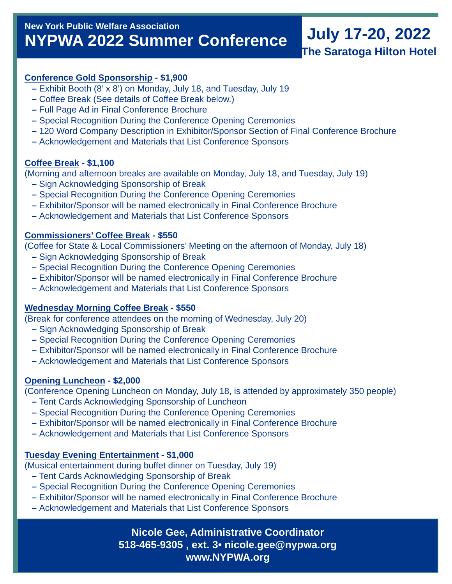## **New York Public Welfare Association NYPWA 2022 Summer Conference**

## **July 17-20, 2022 The Saratoga Hilton Hotel**

#### **Conference Gold Sponsorship - \$1,900**

- Exhibit Booth (8' x 8') on Monday, July 18, and Tuesday, July 19
- Coffee Break (See details of Coffee Break below.)
- Full Page Ad in Final Conference Brochure
- Special Recognition During the Conference Opening Ceremonies
- 120 Word Company Description in Exhibitor/Sponsor Section of Final Conference Brochure
- Acknowledgement and Materials that List Conference Sponsors

#### **Coffee Break - \$1,100**

(Morning and afternoon breaks are available on Monday, July 18, and Tuesday, July 19)

- Sign Acknowledging Sponsorship of Break
- Special Recognition During the Conference Opening Ceremonies
- Exhibitor/Sponsor will be named electronically in Final Conference Brochure
- Acknowledgement and Materials that List Conference Sponsors

#### **Commissioners' Coffee Break - \$550**

(Coffee for State & Local Commissioners' Meeting on the afternoon of Monday, July 18)

- Sign Acknowledging Sponsorship of Break
- Special Recognition During the Conference Opening Ceremonies
- Exhibitor/Sponsor will be named electronically in Final Conference Brochure
- Acknowledgement and Materials that List Conference Sponsors

#### **Wednesday Morning Coffee Break - \$550**

(Break for conference attendees on the morning of Wednesday, July 20)

- Sign Acknowledging Sponsorship of Break
- Special Recognition During the Conference Opening Ceremonies
- Exhibitor/Sponsor will be named electronically in Final Conference Brochure
- Acknowledgement and Materials that List Conference Sponsors

#### **Opening Luncheon - \$2,000**

(Conference Opening Luncheon on Monday, July 18, is attended by approximately 350 people)

- Tent Cards Acknowledging Sponsorship of Luncheon
- Special Recognition During the Conference Opening Ceremonies
- Exhibitor/Sponsor will be named electronically in Final Conference Brochure
- Acknowledgement and Materials that List Conference Sponsors

#### **Tuesday Evening Entertainment - \$1,000**

(Musical entertainment during buffet dinner on Tuesday, July 19)

- Tent Cards Acknowledging Sponsorship of Break
- Special Recognition During the Conference Opening Ceremonies
- Exhibitor/Sponsor will be named electronically in Final Conference Brochure
- Acknowledgement and Materials that List Conference Sponsors

**Nicole Gee, Administrative Coordinator 518-465-9305 , ext. 3• nicole.gee@nypwa.org www.NYPWA.org**